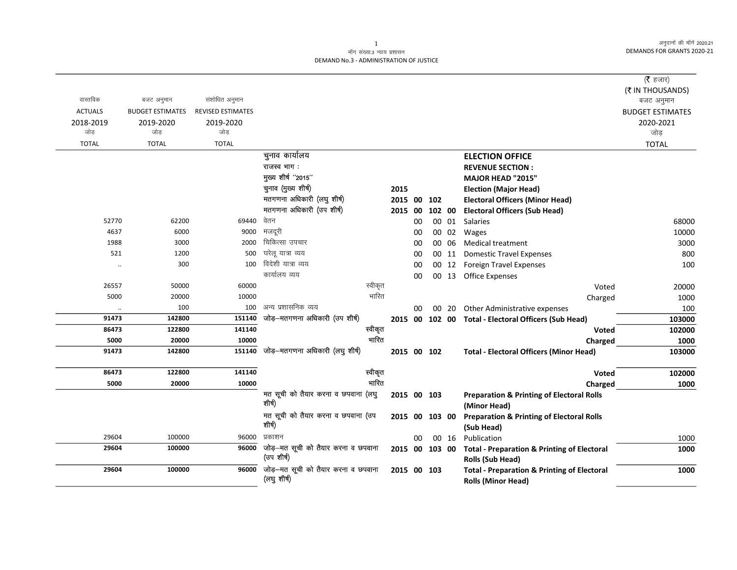अनुदानों की माँगें 2020.21 DEMANDS FOR GRANTS 2020-21

## माँग संख्या.3 न्याय प्रशासन DEMAND No.3 - ADMINISTRATION OF JUSTICE

|                  |                         |                          |                                                    |         |                |    |        |       |                                                                                     | ( $\bar{\tau}$ हजार)    |
|------------------|-------------------------|--------------------------|----------------------------------------------------|---------|----------------|----|--------|-------|-------------------------------------------------------------------------------------|-------------------------|
|                  |                         |                          |                                                    |         |                |    |        |       |                                                                                     | (₹ IN THOUSANDS)        |
| वास्तविक         | बजट अनुमान              | संशोधित अनुमान           |                                                    |         |                |    |        |       |                                                                                     | बजट अनुमान              |
| <b>ACTUALS</b>   | <b>BUDGET ESTIMATES</b> | <b>REVISED ESTIMATES</b> |                                                    |         |                |    |        |       |                                                                                     | <b>BUDGET ESTIMATES</b> |
| 2018-2019<br>जोड | 2019-2020<br>जोड        | 2019-2020<br>जोड         |                                                    |         |                |    |        |       |                                                                                     | 2020-2021               |
|                  |                         |                          |                                                    |         |                |    |        |       |                                                                                     | जोड़                    |
| <b>TOTAL</b>     | <b>TOTAL</b>            | <b>TOTAL</b>             |                                                    |         |                |    |        |       |                                                                                     | <b>TOTAL</b>            |
|                  |                         |                          | चुनाव कार्यालय                                     |         |                |    |        |       | <b>ELECTION OFFICE</b>                                                              |                         |
|                  |                         |                          | राजस्व भाग:                                        |         |                |    |        |       | <b>REVENUE SECTION:</b>                                                             |                         |
|                  |                         |                          | मुख्य शीर्ष "2015"                                 |         |                |    |        |       | <b>MAJOR HEAD "2015"</b>                                                            |                         |
|                  |                         |                          | चुनाव (मुख्य शीर्ष)                                |         | 2015           |    |        |       | <b>Election (Major Head)</b>                                                        |                         |
|                  |                         |                          | मतगणना अधिकारी (लघु शीर्ष)                         |         | 2015 00        |    | 102    |       | <b>Electoral Officers (Minor Head)</b>                                              |                         |
|                  |                         |                          | मतगणना अधिकारी (उप शीर्ष)                          |         | 2015 00        |    | 102 00 |       | <b>Electoral Officers (Sub Head)</b>                                                |                         |
| 52770            | 62200                   | 69440                    | वेतन                                               |         |                | 00 |        |       | 00 01 Salaries                                                                      | 68000                   |
| 4637             | 6000                    | 9000                     | मजदूरी                                             |         |                | 00 |        | 00 02 | Wages                                                                               | 10000                   |
| 1988             | 3000                    | 2000                     | चिकित्सा उपचार                                     |         |                | 00 |        | 00 06 | Medical treatment                                                                   | 3000                    |
| 521              | 1200                    | 500                      | घरेलू यात्रा व्यय                                  |         |                | 00 |        | 00 11 | <b>Domestic Travel Expenses</b>                                                     | 800                     |
| $\ddotsc$        | 300                     | 100                      | विदेशी यात्रा व्यय                                 |         |                | 00 |        | 00 12 | Foreign Travel Expenses                                                             | 100                     |
|                  |                         |                          | कार्यालय व्यय                                      |         |                | 00 |        |       | 00 13 Office Expenses                                                               |                         |
| 26557            | 50000                   | 60000                    |                                                    | स्वीकृत |                |    |        |       | Voted                                                                               | 20000                   |
| 5000             | 20000                   | 10000                    |                                                    | भारित   |                |    |        |       | Charged                                                                             | 1000                    |
|                  | 100                     | 100                      | अन्य प्रशासनिक व्यय                                |         |                | 00 |        | 00 20 | Other Administrative expenses                                                       | 100                     |
| 91473            | 142800                  | 151140                   | जोड़-मतगणना अधिकारी (उप शीर्ष)                     |         |                |    |        |       | 2015 00 102 00 Total - Electoral Officers (Sub Head)                                | 103000                  |
| 86473            | 122800                  | 141140                   |                                                    | स्वीकृत |                |    |        |       | Voted                                                                               | 102000                  |
| 5000             | 20000                   | 10000                    |                                                    | भारित   |                |    |        |       | Charged                                                                             | 1000                    |
| 91473            | 142800                  | 151140                   | जोड़-मतगणना अधिकारी (लघु शीर्ष)                    |         | 2015 00 102    |    |        |       | <b>Total - Electoral Officers (Minor Head)</b>                                      | 103000                  |
| 86473            | 122800                  | 141140                   |                                                    | स्वीकृत |                |    |        |       | Voted                                                                               | 102000                  |
| 5000             | 20000                   | 10000                    |                                                    | भारित   |                |    |        |       | Charged                                                                             | 1000                    |
|                  |                         |                          | मत सूची को तैयार करना व छपवाना (लघु                |         | 2015 00 103    |    |        |       | <b>Preparation &amp; Printing of Electoral Rolls</b>                                |                         |
|                  |                         |                          | शीर्ष)                                             |         |                |    |        |       | (Minor Head)                                                                        |                         |
|                  |                         |                          | मत सूची को तैयार करना व छपवाना (उप<br>शीर्ष)       |         | 2015 00 103 00 |    |        |       | <b>Preparation &amp; Printing of Electoral Rolls</b><br>(Sub Head)                  |                         |
| 29604            | 100000                  | 96000                    | प्रकाशन                                            |         |                | 00 |        | 00 16 | Publication                                                                         | 1000                    |
| 29604            | 100000                  | 96000                    | जोड़—मत सूची को तैयार करना व छपवाना                |         | 2015 00 103 00 |    |        |       | <b>Total - Preparation &amp; Printing of Electoral</b>                              | 1000                    |
|                  |                         |                          | (उप शीर्ष)                                         |         |                |    |        |       | Rolls (Sub Head)                                                                    |                         |
| 29604            | 100000                  | 96000                    | जोड़-मत सूची को तैयार करना व छपवाना<br>(लघु शीर्ष) |         | 2015 00 103    |    |        |       | <b>Total - Preparation &amp; Printing of Electoral</b><br><b>Rolls (Minor Head)</b> | 1000                    |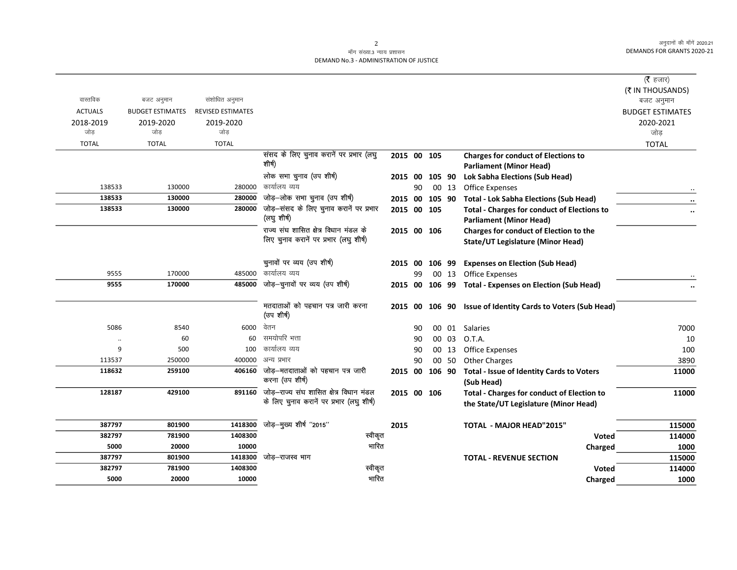अनुदानों की माँगें 2020.21 DEMANDS FOR GRANTS 2020-21

## माँग संख्या.3 न्याय प्रशासन DEMAND No.3 - ADMINISTRATION OF JUSTICE

| वास्तविक         | बजट अनुमान              | संशोधित अनुमान           |                                                |             |    |        |                 |                                                                  | ( $\bar{\tau}$ हजार)<br>(₹ IN THOUSANDS) |
|------------------|-------------------------|--------------------------|------------------------------------------------|-------------|----|--------|-----------------|------------------------------------------------------------------|------------------------------------------|
| <b>ACTUALS</b>   |                         | <b>REVISED ESTIMATES</b> |                                                |             |    |        |                 |                                                                  | बजट अनुमान                               |
|                  | <b>BUDGET ESTIMATES</b> |                          |                                                |             |    |        |                 |                                                                  | <b>BUDGET ESTIMATES</b>                  |
| 2018-2019<br>जोड | 2019-2020<br>जोड        | 2019-2020<br>जोड         |                                                |             |    |        |                 |                                                                  | 2020-2021<br>जोड़                        |
|                  |                         |                          |                                                |             |    |        |                 |                                                                  |                                          |
| <b>TOTAL</b>     | <b>TOTAL</b>            | <b>TOTAL</b>             | संसद के लिए चुनाव करानें पर प्रभार (लघु        |             |    |        |                 |                                                                  | <b>TOTAL</b>                             |
|                  |                         |                          | शीर्ष)                                         | 2015 00 105 |    |        |                 | <b>Charges for conduct of Elections to</b>                       |                                          |
|                  |                         |                          | लोक सभा चुनाव (उप शीर्ष)                       |             |    |        |                 | <b>Parliament (Minor Head)</b>                                   |                                          |
| 138533           | 130000                  | 280000                   | कार्यालय व्यय                                  | 2015 00     |    | 105 90 |                 | <b>Lok Sabha Elections (Sub Head)</b>                            |                                          |
| 138533           | 130000                  | 280000                   | जोड़-लोक सभा चुनाव (उप शीर्ष)                  |             | 90 |        | 00 13           | Office Expenses                                                  |                                          |
| 138533           | 130000                  | 280000                   | जोड़-संसद के लिए चुनाव करानें पर प्रभार        | 2015 00     |    |        | 105 90          | Total - Lok Sabha Elections (Sub Head)                           | $\ddot{\phantom{0}}$                     |
|                  |                         |                          | (लघु शीर्ष)                                    | 2015 00 105 |    |        |                 | <b>Total - Charges for conduct of Elections to</b>               |                                          |
|                  |                         |                          | राज्य संघ शासित क्षेत्र विधान मंडल के          |             |    |        |                 | <b>Parliament (Minor Head)</b>                                   |                                          |
|                  |                         |                          | लिए चुनाव करानें पर प्रभार (लघु शीर्ष)         | 2015 00 106 |    |        |                 | Charges for conduct of Election to the                           |                                          |
|                  |                         |                          |                                                |             |    |        |                 | <b>State/UT Legislature (Minor Head)</b>                         |                                          |
|                  |                         |                          | चुनावों पर व्यय (उप शीर्ष)                     |             |    |        |                 |                                                                  |                                          |
| 9555             | 170000                  | 485000                   | कार्यालय व्यय                                  | 2015 00     | 99 |        | 106 99<br>00 13 | <b>Expenses on Election (Sub Head)</b><br><b>Office Expenses</b> |                                          |
| 9555             | 170000                  | 485000                   | जोड़-चुनावों पर व्यय (उप शीर्ष)                | 2015 00     |    |        |                 | 106 99 Total - Expenses on Election (Sub Head)                   |                                          |
|                  |                         |                          |                                                |             |    |        |                 |                                                                  |                                          |
|                  |                         |                          | मतदाताओं को पहचान पत्र जारी करना<br>(उप शीर्ष) |             |    |        |                 | 2015 00 106 90 Issue of Identity Cards to Voters (Sub Head)      |                                          |
| 5086             | 8540                    | 6000                     | वेतन                                           |             | 90 |        |                 | 00 01 Salaries                                                   | 7000                                     |
|                  | 60                      | 60                       | समयोपरि भत्ता                                  |             | 90 |        | 00 03           | O.T.A.                                                           | 10                                       |
| $\ddotsc$<br>9   | 500                     | 100                      | कार्यालय व्यय                                  |             | 90 |        | 00 13           |                                                                  | 100                                      |
| 113537           | 250000                  | 400000                   | अन्य प्रभार                                    |             | 90 |        | 00 50           | Office Expenses<br><b>Other Charges</b>                          | 3890                                     |
| 118632           | 259100                  | 406160                   | जोड़–मतदाताओं को पहचान पत्र जारी               |             |    |        |                 |                                                                  |                                          |
|                  |                         |                          | करना (उप शीर्ष)                                | 2015 00     |    |        | 106 90          | Total - Issue of Identity Cards to Voters<br>(Sub Head)          | 11000                                    |
| 128187           | 429100                  | 891160                   | जोड़—राज्य संघ शासित क्षेत्र विधान मंडल        | 2015 00 106 |    |        |                 | <b>Total - Charges for conduct of Election to</b>                | 11000                                    |
|                  |                         |                          | के लिए चुनाव करानें पर प्रभार (लघु शीर्ष)      |             |    |        |                 | the State/UT Legislature (Minor Head)                            |                                          |
|                  |                         |                          |                                                |             |    |        |                 |                                                                  |                                          |
| 387797           | 801900                  | 1418300                  | जोड़-मुख्य शीर्ष "2015"                        | 2015        |    |        |                 | TOTAL - MAJOR HEAD"2015"                                         | 115000                                   |
| 382797           | 781900                  | 1408300                  | स्वीकृत                                        |             |    |        |                 | <b>Voted</b>                                                     | 114000                                   |
| 5000             | 20000                   | 10000                    | भारित                                          |             |    |        |                 | Charged                                                          | 1000                                     |
| 387797           | 801900                  | 1418300                  | जोड–राजस्व भाग                                 |             |    |        |                 | <b>TOTAL - REVENUE SECTION</b>                                   | 115000                                   |
| 382797           | 781900                  | 1408300                  | स्वीकृत                                        |             |    |        |                 | <b>Voted</b>                                                     | 114000                                   |
| 5000             | 20000                   | 10000                    | भारित                                          |             |    |        |                 | Charged                                                          | 1000                                     |

2